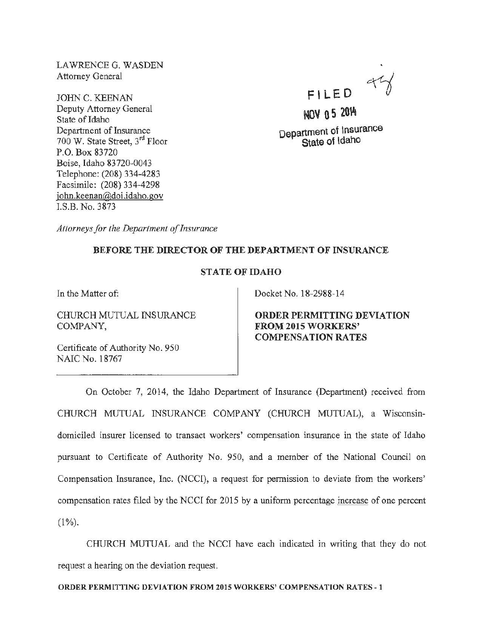LAWRENCE G. WASDEN Attorney General

JOHN C. KEENAN Deputy Attorney General State of Idaho Department of Insurance 700 W. State Street, 3rd Floor P.O. Box 83720 Boise, Idaho 83720·0043 Telephone: (208) 334-4283 Facsimile: (208) 334-4298 john.keenan@doi.idaho.gov I.S.B. No. 3873

 $44$ FILED

NOV 0 5 201'ft Department of Insurance

State of ldaho

*Attorneys for the Department of Insurance* 

## BEFORE THE DIRECTOR OF THE DEPARTMENT OF INSURANCE

## STATE OF IDAHO

In the Matter of:

CHURCH MUTUAL INSURANCE COMPANY,

Certificate of Authority No. 950 NAIC No. 18767

Docket No. 18-2988-14

ORDER PERMITTING DEVIATION FROM 2015 WORKERS' COMPENSATION RATES

On October 7, 2014, the Idaho Department of Insurance (Department) received from CHURCH MUTUAL INSURANCE COMPANY (CHURCH MUTUAL), a Wisconsindomiciled insurer licensed to transact workers' compensation insurance in the state of Idaho pursuant to Certificate of Authority No. 950, and a member of the National Council on Compensation Insurance, Inc. (NCCI), a request for permission to deviate from the workers' compensation rates filed by the NCCI for 2015 by a uniform percentage increase of one percent  $(1\%)$ .

CHURCH MUTUAL and the NCCI have each indicated in writing that they do not request a hearing on the deviation request.

ORDER PERMITTING DEVIATION FROM 2015 WORKERS' COMPENSATION RATES -1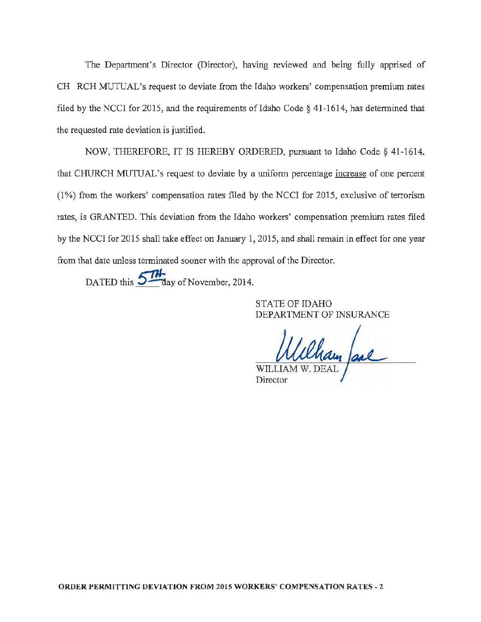The Department's Director (Director), having reviewed and being fully apprised of CH RCH MUTUAL's request to deviate from the Idaho workers' compensation premium rates filed by the NCCI for 2015, and the requirements of Idaho Code  $\S$  41-1614, has determined that the requested rate deviation is justified.

NOW, THEREFORE, IT IS HEREBY ORDERED, pursuant to Idaho Code§ 41-1614, that CHURCH MUTUAL's request to deviate by a uniform percentage increase of one percent (1 %) from the workers' compensation rates filed by the NCCI for 2015, exclusive of terrorism rates, is GRANTED. This deviation from the Idaho workers' compensation premium rates flled by the NCCI for 2015 shall take effect on January 1, 2015, and shall remain in effect for one year from that date unless terminated sooner with the approval of the Director.

DATED this  $5\frac{7H}{\text{day of November}}$ , 2014.

STATE OF IDAHO DEPARTMENT OF INSURANCE

Cham Jace **Director** 

ORDER PERMITTING DEVIATION FROM 2015 WORKERS' COMPENSATION RATES- 2